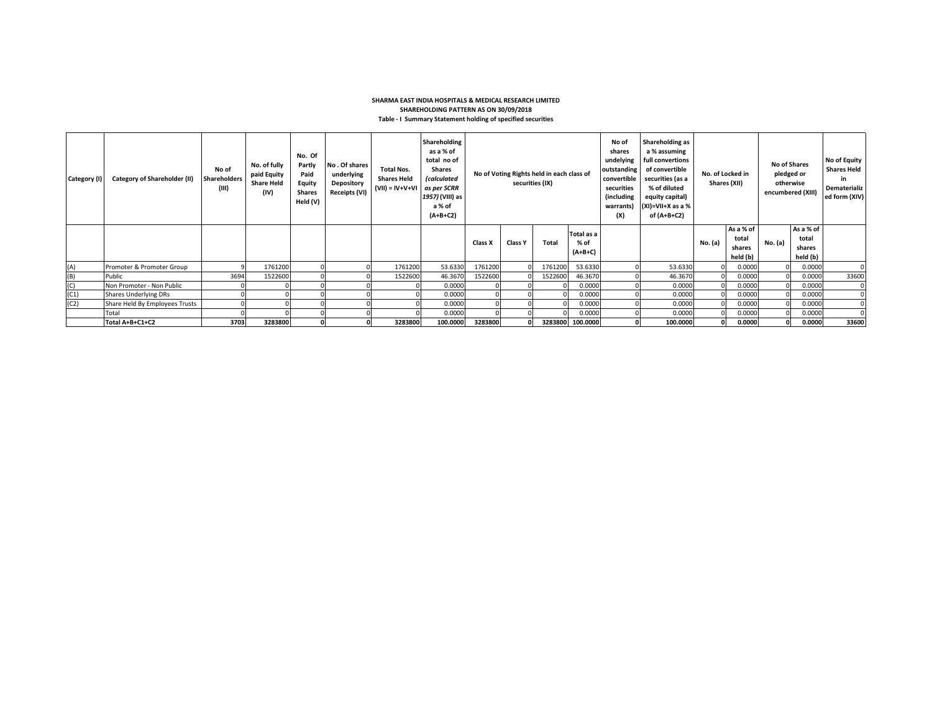## **SHARMA EAST INDIA HOSPITALS & MEDICAL RESEARCH LIMITED SHAREHOLDING PATTERN AS ON 30/09/2018 Table - I Summary Statement holding of specified securities**

| Category (I) | <b>Category of Shareholder (II)</b> | No of<br><b>Shareholders</b><br>(III) | No. of fully<br>paid Equity<br><b>Share Held</b><br>(IV) | No. Of<br>Partly<br>Paid<br>Equity<br><b>Shares</b><br>Held (V) | No. Of shares<br>underlying<br>Depository<br>Receipts (VI) | <b>Total Nos.</b><br><b>Shares Held</b><br>$(VII) = IV + V + VI$ | Shareholding<br>as a % of<br>total no of<br><b>Shares</b><br><i>(calculated</i><br>as per SCRR<br>1957) (VIII) as<br>a % of<br>$(A+B+C2)$ |         | No of Voting Rights held in each class of<br>securities (IX) |              |                                 | No of<br>shares<br>undelying<br>outstanding<br>convertible<br>securities<br>(including<br>warrants)<br>(X) |          |         |                                          | Shareholding as<br>a % assuming<br>full convertions<br>of convertible<br>securities (as a<br>% of diluted<br>equity capital)<br>$(XI)=VII+X$ as a %<br>of (A+B+C2) |                                          | No. of Locked in<br>Shares (XII) |  | <b>No of Shares</b><br>pledged or<br>otherwise<br>encumbered (XIII) | No of Equity<br><b>Shares Held</b><br>in.<br>Dematerializ<br>ed form (XIV) |
|--------------|-------------------------------------|---------------------------------------|----------------------------------------------------------|-----------------------------------------------------------------|------------------------------------------------------------|------------------------------------------------------------------|-------------------------------------------------------------------------------------------------------------------------------------------|---------|--------------------------------------------------------------|--------------|---------------------------------|------------------------------------------------------------------------------------------------------------|----------|---------|------------------------------------------|--------------------------------------------------------------------------------------------------------------------------------------------------------------------|------------------------------------------|----------------------------------|--|---------------------------------------------------------------------|----------------------------------------------------------------------------|
|              |                                     |                                       |                                                          |                                                                 |                                                            |                                                                  |                                                                                                                                           | Class X | <b>Class Y</b>                                               | <b>Total</b> | Total as a<br>% of<br>$(A+B+C)$ |                                                                                                            |          | No. (a) | As a % of<br>total<br>shares<br>held (b) | No. (a)                                                                                                                                                            | As a % of<br>total<br>shares<br>held (b) |                                  |  |                                                                     |                                                                            |
| (A)          | Promoter & Promoter Group           |                                       | 1761200                                                  |                                                                 |                                                            | 1761200                                                          | 53.6330                                                                                                                                   | 1761200 |                                                              | 1761200      | 53.6330                         |                                                                                                            | 53.6330  |         | 0.0000                                   |                                                                                                                                                                    | 0.0000                                   |                                  |  |                                                                     |                                                                            |
| (B)          | Public                              | 3694                                  | 1522600                                                  |                                                                 |                                                            | 1522600                                                          | 46.3670                                                                                                                                   | 1522600 |                                                              | 1522600      | 46.3670                         |                                                                                                            | 46.3670  |         | 0.0000                                   |                                                                                                                                                                    | 0.0000                                   | 33600                            |  |                                                                     |                                                                            |
| (C)          | Non Promoter - Non Public           |                                       |                                                          |                                                                 |                                                            |                                                                  | 0.0000                                                                                                                                    |         |                                                              |              | 0.0000                          |                                                                                                            | 0.0000   |         | 0.0000                                   |                                                                                                                                                                    | 0.0000                                   | $\Omega$                         |  |                                                                     |                                                                            |
| (C1)         | <b>Shares Underlying DRs</b>        |                                       |                                                          |                                                                 |                                                            |                                                                  | 0.0000                                                                                                                                    |         |                                                              |              | 0.0000                          |                                                                                                            | 0.0000   |         | 0.0000                                   |                                                                                                                                                                    | 0.0000                                   |                                  |  |                                                                     |                                                                            |
| (C2)         | Share Held By Employees Trusts      |                                       |                                                          |                                                                 |                                                            |                                                                  | 0.0000                                                                                                                                    |         |                                                              |              | 0.0000                          |                                                                                                            | 0.0000   |         | 0.0000                                   |                                                                                                                                                                    | 0.0000                                   |                                  |  |                                                                     |                                                                            |
|              | Total                               |                                       |                                                          |                                                                 |                                                            |                                                                  | 0.0000                                                                                                                                    |         |                                                              |              | 0.0000                          |                                                                                                            | 0.0000   |         | 0.0000                                   |                                                                                                                                                                    | 0.0000                                   |                                  |  |                                                                     |                                                                            |
|              | Total A+B+C1+C2                     | 3703                                  | 3283800                                                  |                                                                 |                                                            | 3283800                                                          | 100.0000                                                                                                                                  | 3283800 |                                                              |              | 3283800 100.0000                |                                                                                                            | 100.0000 |         | 0.0000                                   |                                                                                                                                                                    | 0.0000                                   | 33600                            |  |                                                                     |                                                                            |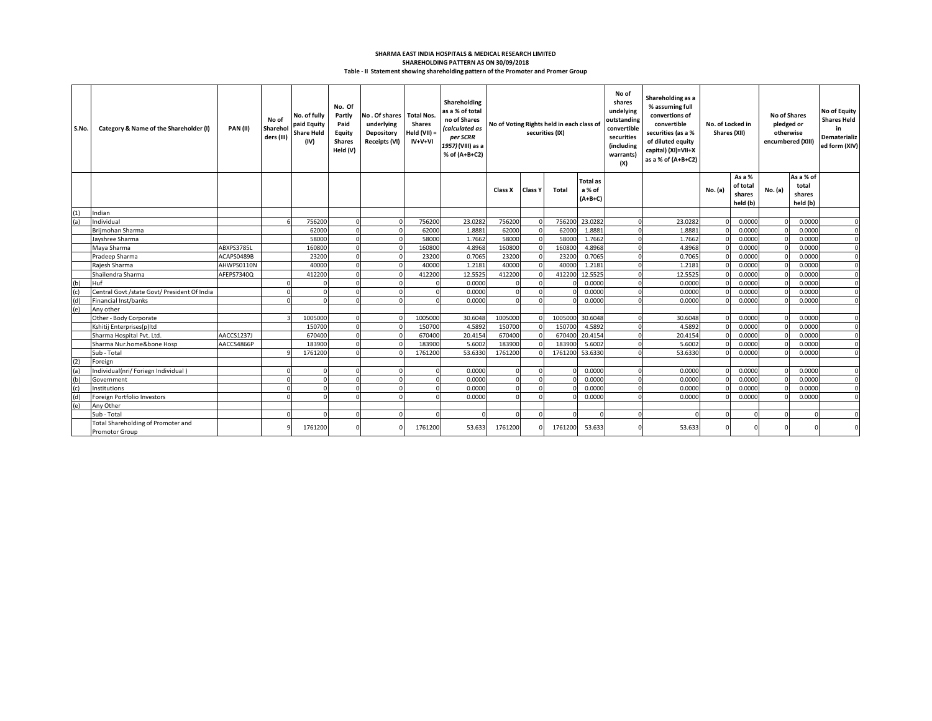## **Table - II Statement showing shareholding pattern of the Promoter and Promer Group SHAREHOLDING PATTERN AS ON 30/09/2018 SHARMA EAST INDIA HOSPITALS & MEDICAL RESEARCH LIMITED**

| S.No. | Category & Name of the Shareholder (I)                      | PAN(II)    | No of<br>Sharehol<br>ders (III) | No. of fully<br>paid Equity<br><b>Share Held</b><br>(IV) | No. Of<br>Partly<br>Paid<br>Equity<br><b>Shares</b><br>Held (V) | No. Of shares Total Nos.<br>underlying<br>Depository<br>Receipts (VI) | <b>Shares</b><br>Held $(VII) =$<br>$IV+V+VI$ | Shareholding<br>as a % of total<br>no of Shares<br>(calculated as<br>per SCRR<br>1957) (VIII) as a<br>% of (A+B+C2) | No of Voting Rights held in each class of<br>securities (IX) |                |          |                                        |  |         |          |                                          |         |                                          |          |  |  |  | No of<br>shares<br>undelying<br>outstanding<br>convertible<br>securities<br><i>(including</i><br>warrants)<br>(X) | Shareholding as a<br>% assuming full<br>convertions of<br>convertible<br>securities (as a %<br>of diluted equity<br>capital) (XI)=VII+X<br>as a % of (A+B+C2) | No. of Locked in<br>Shares (XII) |  | <b>No of Shares</b><br>pledged or<br>otherwise<br>encumbered (XIII) |  | <b>No of Equity</b><br><b>Shares Held</b><br>in<br>Dematerializ<br>ed form (XIV) |
|-------|-------------------------------------------------------------|------------|---------------------------------|----------------------------------------------------------|-----------------------------------------------------------------|-----------------------------------------------------------------------|----------------------------------------------|---------------------------------------------------------------------------------------------------------------------|--------------------------------------------------------------|----------------|----------|----------------------------------------|--|---------|----------|------------------------------------------|---------|------------------------------------------|----------|--|--|--|-------------------------------------------------------------------------------------------------------------------|---------------------------------------------------------------------------------------------------------------------------------------------------------------|----------------------------------|--|---------------------------------------------------------------------|--|----------------------------------------------------------------------------------|
|       |                                                             |            |                                 |                                                          |                                                                 |                                                                       |                                              |                                                                                                                     | Class X                                                      | <b>Class Y</b> | Total    | <b>Total as</b><br>a % of<br>$(A+B+C)$ |  |         | No. (a)  | As a %<br>of total<br>shares<br>held (b) | No. (a) | As a % of<br>total<br>shares<br>held (b) |          |  |  |  |                                                                                                                   |                                                                                                                                                               |                                  |  |                                                                     |  |                                                                                  |
| (1)   | Indian                                                      |            |                                 |                                                          |                                                                 |                                                                       |                                              |                                                                                                                     |                                                              |                |          |                                        |  |         |          |                                          |         |                                          |          |  |  |  |                                                                                                                   |                                                                                                                                                               |                                  |  |                                                                     |  |                                                                                  |
| (a)   | Individual                                                  |            |                                 | 756200                                                   |                                                                 |                                                                       | 756200                                       | 23.0282                                                                                                             | 756200                                                       | $\Omega$       | 756200   | 23.0282                                |  | 23.0282 |          | 0.000                                    |         | 0.0000                                   |          |  |  |  |                                                                                                                   |                                                                                                                                                               |                                  |  |                                                                     |  |                                                                                  |
|       | Brijmohan Sharma                                            |            |                                 | 62000                                                    |                                                                 |                                                                       | 62000                                        | 1.8881                                                                                                              | 62000                                                        | $\mathbf 0$    | 62000    | 1.8881                                 |  | 1.8881  |          | 0.000                                    |         | 0.0000                                   | $\Omega$ |  |  |  |                                                                                                                   |                                                                                                                                                               |                                  |  |                                                                     |  |                                                                                  |
|       | Javshree Sharma                                             |            |                                 | 58000                                                    |                                                                 |                                                                       | 58000                                        | 1.7662                                                                                                              | 58000                                                        | $\Omega$       | 58000    | 1.7662                                 |  | 1.7662  |          | 0.0000                                   |         | 0.0000                                   | $\Omega$ |  |  |  |                                                                                                                   |                                                                                                                                                               |                                  |  |                                                                     |  |                                                                                  |
|       | Maya Sharma                                                 | ABXPS3785L |                                 | 160800                                                   |                                                                 |                                                                       | 160800                                       | 4.8968                                                                                                              | 160800                                                       | $\Omega$       | 160800   | 4.8968                                 |  | 4.8968  |          | 0.0000                                   |         | 0.0000                                   | n        |  |  |  |                                                                                                                   |                                                                                                                                                               |                                  |  |                                                                     |  |                                                                                  |
|       | Pradeep Sharma                                              | ACAPS0489B |                                 | 23200                                                    |                                                                 |                                                                       | 23200                                        | 0.7065                                                                                                              | 23200                                                        | $\Omega$       | 23200    | 0.7065                                 |  | 0.7065  |          | 0.000                                    |         | 0.0000                                   |          |  |  |  |                                                                                                                   |                                                                                                                                                               |                                  |  |                                                                     |  |                                                                                  |
|       | Rajesh Sharma                                               | AHWPS0110N |                                 | 40000                                                    |                                                                 |                                                                       | 40000                                        | 1.2181                                                                                                              | 40000                                                        | $\Omega$       | 40000    | 1.2181                                 |  | 1.2181  |          | 0.0000                                   |         | 0.0000                                   | $\Omega$ |  |  |  |                                                                                                                   |                                                                                                                                                               |                                  |  |                                                                     |  |                                                                                  |
|       | Shailendra Sharma                                           | AFEPS7340Q |                                 | 412200                                                   |                                                                 |                                                                       | 412200                                       | 12.5525                                                                                                             | 412200                                                       | $\Omega$       | 412200   | 12.5525                                |  | 12.5525 |          | 0.0000                                   |         | 0.0000                                   | $\Omega$ |  |  |  |                                                                                                                   |                                                                                                                                                               |                                  |  |                                                                     |  |                                                                                  |
| (b)   | <b>Huf</b>                                                  |            |                                 |                                                          |                                                                 |                                                                       |                                              | 0.0000                                                                                                              | $\Omega$                                                     | $\Omega$       |          | 0.0000                                 |  | 0.0000  |          | 0.0000                                   |         | 0.0000                                   |          |  |  |  |                                                                                                                   |                                                                                                                                                               |                                  |  |                                                                     |  |                                                                                  |
| (c)   | Central Govt /state Govt/ President Of India                |            |                                 |                                                          |                                                                 |                                                                       |                                              | 0.0000                                                                                                              |                                                              | $\Omega$       |          | 0.0000                                 |  | 0.0000  |          | 0.000                                    |         | 0.0000                                   | $\Omega$ |  |  |  |                                                                                                                   |                                                                                                                                                               |                                  |  |                                                                     |  |                                                                                  |
| (d)   | Financial Inst/banks                                        |            |                                 |                                                          |                                                                 |                                                                       |                                              | 0.0000                                                                                                              |                                                              | $\Omega$       |          | 0.0000                                 |  | 0.0000  |          | 0.000                                    |         | 0.0000                                   | n        |  |  |  |                                                                                                                   |                                                                                                                                                               |                                  |  |                                                                     |  |                                                                                  |
| (e)   | Any other                                                   |            |                                 |                                                          |                                                                 |                                                                       |                                              |                                                                                                                     |                                                              |                |          |                                        |  |         |          |                                          |         |                                          |          |  |  |  |                                                                                                                   |                                                                                                                                                               |                                  |  |                                                                     |  |                                                                                  |
|       | Other - Body Corporate                                      |            |                                 | 1005000                                                  |                                                                 |                                                                       | 1005000                                      | 30.6048                                                                                                             | 1005000                                                      | $\Omega$       | 1005000  | 30.6048                                |  | 30.6048 |          | 0.0000                                   |         | 0.0000                                   | $\Omega$ |  |  |  |                                                                                                                   |                                                                                                                                                               |                                  |  |                                                                     |  |                                                                                  |
|       | Kshitii Enterprises(p)Itd                                   |            |                                 | 150700                                                   |                                                                 |                                                                       | 150700                                       | 4.5892                                                                                                              | 150700                                                       | $\Omega$       | 150700   | 4.5892                                 |  | 4.5892  |          | 0.000                                    |         | 0.0000                                   | $\Omega$ |  |  |  |                                                                                                                   |                                                                                                                                                               |                                  |  |                                                                     |  |                                                                                  |
|       | Sharma Hospital Pvt. Ltd.                                   | AACCS1237J |                                 | 670400                                                   |                                                                 |                                                                       | 670400                                       | 20.4154                                                                                                             | 670400                                                       | $\Omega$       | 670400   | 20.4154                                |  | 20.4154 |          | 0.000                                    |         | 0.0000                                   | $\Omega$ |  |  |  |                                                                                                                   |                                                                                                                                                               |                                  |  |                                                                     |  |                                                                                  |
|       | Sharma Nur.home&bone Hosp                                   | AACCS4866P |                                 | 183900                                                   |                                                                 |                                                                       | 183900                                       | 5.6002                                                                                                              | 183900                                                       | $\Omega$       | 183900   | 5.6002                                 |  | 5.6002  |          | 0.000                                    |         | 0.0000                                   |          |  |  |  |                                                                                                                   |                                                                                                                                                               |                                  |  |                                                                     |  |                                                                                  |
| (2)   | Sub - Total                                                 |            |                                 | 1761200                                                  |                                                                 |                                                                       | 1761200                                      | 53.6330                                                                                                             | 1761200                                                      |                | 1761200  | 53.6330                                |  | 53.6330 |          | 0.000                                    |         | 0.0000                                   |          |  |  |  |                                                                                                                   |                                                                                                                                                               |                                  |  |                                                                     |  |                                                                                  |
| (a'   | Foreign<br>Individual(nri/ Foriegn Individual)              |            |                                 |                                                          |                                                                 |                                                                       |                                              | 0.0000                                                                                                              |                                                              |                |          | 0.0000                                 |  | 0.0000  |          | 0.000                                    |         | 0.0000                                   |          |  |  |  |                                                                                                                   |                                                                                                                                                               |                                  |  |                                                                     |  |                                                                                  |
| (b    | Government                                                  |            |                                 | $\Omega$                                                 |                                                                 |                                                                       |                                              | 0.0000                                                                                                              |                                                              | $\Omega$       |          | 0.0000                                 |  | 0.0000  |          | 0.0000                                   |         | 0.0000                                   |          |  |  |  |                                                                                                                   |                                                                                                                                                               |                                  |  |                                                                     |  |                                                                                  |
| (c)   | Institutions                                                |            |                                 |                                                          |                                                                 |                                                                       |                                              | 0.0000                                                                                                              |                                                              | $\Omega$       |          | 0.0000                                 |  | 0.0000  |          | 0.000                                    |         | 0.0000                                   |          |  |  |  |                                                                                                                   |                                                                                                                                                               |                                  |  |                                                                     |  |                                                                                  |
| (d)   | Foreign Portfolio Investors                                 |            |                                 |                                                          |                                                                 |                                                                       |                                              | 0.0000                                                                                                              |                                                              |                |          | 0.0000                                 |  | 0.0000  |          | 0.000                                    |         | 0.0000                                   |          |  |  |  |                                                                                                                   |                                                                                                                                                               |                                  |  |                                                                     |  |                                                                                  |
| (e)   | Any Other                                                   |            |                                 |                                                          |                                                                 |                                                                       |                                              |                                                                                                                     |                                                              |                |          |                                        |  |         |          |                                          |         |                                          |          |  |  |  |                                                                                                                   |                                                                                                                                                               |                                  |  |                                                                     |  |                                                                                  |
|       | Sub - Total                                                 |            |                                 |                                                          |                                                                 | $\Omega$                                                              |                                              | $\Omega$                                                                                                            |                                                              | $\Omega$       | <b>C</b> |                                        |  |         | $\Omega$ |                                          |         |                                          | $\Omega$ |  |  |  |                                                                                                                   |                                                                                                                                                               |                                  |  |                                                                     |  |                                                                                  |
|       | Total Shareholding of Promoter and<br><b>Promotor Group</b> |            |                                 | 1761200                                                  |                                                                 |                                                                       | 1761200                                      | 53.633                                                                                                              | 1761200                                                      |                | 1761200  | 53.633                                 |  | 53.633  |          |                                          |         |                                          |          |  |  |  |                                                                                                                   |                                                                                                                                                               |                                  |  |                                                                     |  |                                                                                  |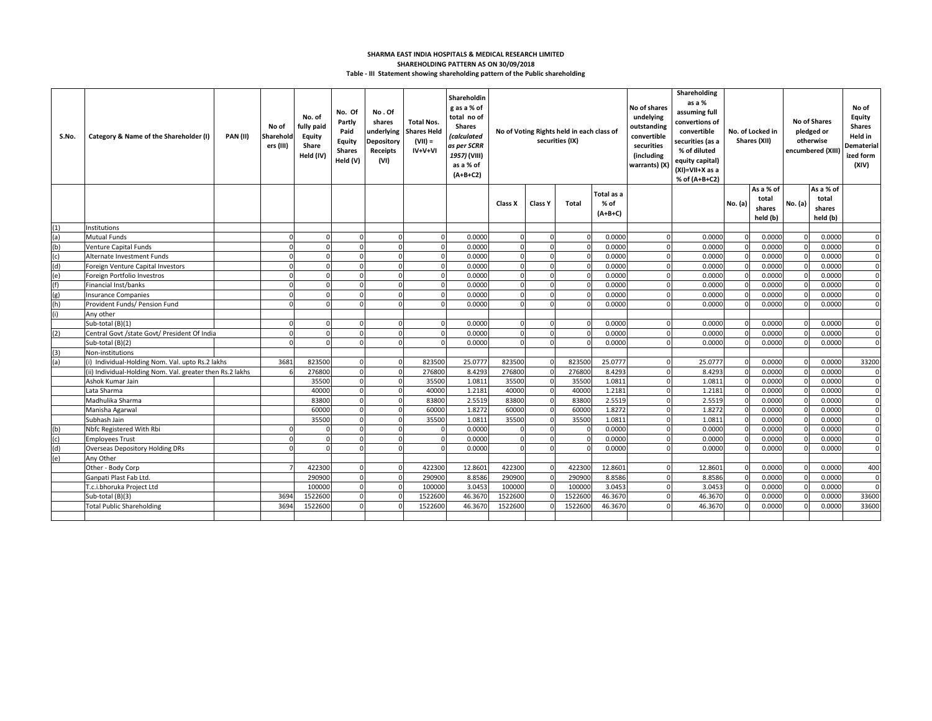## **Table - III Statement showing shareholding pattern of the Public shareholding SHARMA EAST INDIA HOSPITALS & MEDICAL RESEARCH LIMITED SHAREHOLDING PATTERN AS ON 30/09/2018**

| S.No. | Category & Name of the Shareholder (I)                   | <b>PAN (II)</b> | No of<br>Sharehold<br>ers (III) | No. of<br>fully paid<br>Equity<br>Share<br>Held (IV) | No. Of<br>Partly<br>Paid<br>Equity<br><b>Shares</b><br>Held (V) | No.Of<br>shares<br>underlying<br><b>Depository</b><br>Receipts<br>(VI) | <b>Total Nos.</b><br><b>Shares Held</b><br>$(VII) =$<br>$IV+V+VI$ | Shareholdin<br>g as a % of<br>total no of<br><b>Shares</b><br>(calculated<br>as per SCRR<br>1957) (VIII)<br>as a % of<br>$(A+B+C2)$ |                   |                      | No of Voting Rights held in each class of<br>securities (IX) |                                   | No of shares<br>undelying<br>outstanding<br>convertible<br>securities<br>(including<br>warrants) (X) | Shareholding<br>as a %<br>assuming full<br>convertions of<br>convertible<br>securities (as a<br>% of diluted<br>equity capital)<br>(XI)=VII+X as a<br>% of (A+B+C2) |         |                                          |         | No. of Locked in<br>Shares (XII)         |                               | <b>No of Shares</b><br>pledged or<br>otherwise<br>encumbered (XIII) | No of<br>Equity<br><b>Shares</b><br>Held in<br>Dematerial<br>ized form<br>(XIV) |
|-------|----------------------------------------------------------|-----------------|---------------------------------|------------------------------------------------------|-----------------------------------------------------------------|------------------------------------------------------------------------|-------------------------------------------------------------------|-------------------------------------------------------------------------------------------------------------------------------------|-------------------|----------------------|--------------------------------------------------------------|-----------------------------------|------------------------------------------------------------------------------------------------------|---------------------------------------------------------------------------------------------------------------------------------------------------------------------|---------|------------------------------------------|---------|------------------------------------------|-------------------------------|---------------------------------------------------------------------|---------------------------------------------------------------------------------|
|       |                                                          |                 |                                 |                                                      |                                                                 |                                                                        |                                                                   |                                                                                                                                     | <b>Class X</b>    | <b>Class Y</b>       | Total                                                        | Total as a<br>$%$ of<br>$(A+B+C)$ |                                                                                                      |                                                                                                                                                                     | No. (a) | As a % of<br>total<br>shares<br>held (b) | No. (a) | As a % of<br>total<br>shares<br>held (b) |                               |                                                                     |                                                                                 |
| (1)   | Institutions                                             |                 |                                 |                                                      |                                                                 |                                                                        |                                                                   |                                                                                                                                     |                   |                      |                                                              |                                   |                                                                                                      |                                                                                                                                                                     |         |                                          |         |                                          |                               |                                                                     |                                                                                 |
| (a)   | Mutual Funds                                             |                 |                                 |                                                      |                                                                 |                                                                        |                                                                   | 0.0000                                                                                                                              | $\Omega$          |                      | $\Omega$                                                     | 0.0000                            |                                                                                                      | 0.0000                                                                                                                                                              |         | 0.0000                                   |         | 0.0000                                   | $\Omega$                      |                                                                     |                                                                                 |
| (b)   | Venture Capital Funds                                    |                 |                                 |                                                      | $\Omega$                                                        | $\Omega$                                                               | $\Omega$                                                          | 0.0000                                                                                                                              | $\Omega$          | $\Omega$             | $\Omega$                                                     | 0.0000                            | $\Omega$                                                                                             | 0.0000                                                                                                                                                              |         | 0.0000                                   |         | 0.0000                                   | $\Omega$                      |                                                                     |                                                                                 |
| (c)   | Alternate Investment Funds                               |                 |                                 | $\Omega$                                             | $\Omega$                                                        | $\Omega$                                                               | $\Omega$                                                          | 0.0000                                                                                                                              | $\Omega$          | $\Omega$             | $\Omega$                                                     | 0.0000                            | $\Omega$                                                                                             | 0.0000                                                                                                                                                              |         | 0.0000                                   |         | 0.0000                                   | $\Omega$                      |                                                                     |                                                                                 |
| (d)   | Foreign Venture Capital Investors                        |                 |                                 |                                                      | $\Omega$                                                        |                                                                        | $\Omega$                                                          | 0.0000                                                                                                                              | $\Omega$          |                      | $\Omega$                                                     | 0.0000                            |                                                                                                      | 0.0000                                                                                                                                                              |         | 0.0000                                   |         | 0.0000                                   | $\Omega$                      |                                                                     |                                                                                 |
| (e)   | Foreign Portfolio Investros                              |                 |                                 |                                                      |                                                                 |                                                                        | $\Omega$                                                          | 0.0000                                                                                                                              | $\Omega$          | r                    | $\Omega$                                                     | 0.0000                            | n                                                                                                    | 0.0000                                                                                                                                                              |         | 0.0000                                   |         | 0.0000                                   | $\Omega$                      |                                                                     |                                                                                 |
| (f)   | Financial Inst/banks                                     |                 |                                 |                                                      | $\Omega$                                                        | $\Omega$                                                               | $\Omega$                                                          | 0.0000                                                                                                                              | $\Omega$          | $\Omega$             | $\Omega$                                                     | 0.0000                            | $\Omega$                                                                                             | 0.0000                                                                                                                                                              |         | 0.0000                                   |         | 0.0000                                   | $\Omega$                      |                                                                     |                                                                                 |
| (g)   | <b>Insurance Companies</b>                               |                 |                                 |                                                      |                                                                 |                                                                        |                                                                   | 0.0000                                                                                                                              | $\Omega$          |                      | $\Omega$                                                     | 0.0000                            |                                                                                                      | 0.0000                                                                                                                                                              |         | 0.0000                                   |         | 0.0000                                   | $\Omega$                      |                                                                     |                                                                                 |
| (h)   | Provident Funds/ Pension Fund                            |                 |                                 |                                                      |                                                                 |                                                                        |                                                                   | 0.0000                                                                                                                              |                   |                      |                                                              | 0.0000                            |                                                                                                      | 0.0000                                                                                                                                                              |         | 0.0000                                   |         | 0.0000                                   | $\Omega$                      |                                                                     |                                                                                 |
| (i)   | Anv other                                                |                 |                                 |                                                      |                                                                 |                                                                        |                                                                   |                                                                                                                                     |                   |                      |                                                              |                                   |                                                                                                      |                                                                                                                                                                     |         |                                          |         |                                          |                               |                                                                     |                                                                                 |
|       | Sub-total (B)(1)                                         |                 | $\Omega$                        | $\Omega$                                             | $\Omega$                                                        | $\Omega$                                                               | $\Omega$                                                          | 0.0000                                                                                                                              | $\Omega$          | $\Omega$             | $\Omega$                                                     | 0.0000                            | $\Omega$                                                                                             | 0.0000                                                                                                                                                              |         | 0.0000                                   |         | 0.0000                                   | $\mathbf 0$                   |                                                                     |                                                                                 |
| (2)   | Central Govt /state Govt/ President Of India             |                 |                                 |                                                      | $\Omega$                                                        |                                                                        |                                                                   | 0.0000                                                                                                                              | $\Omega$          | $\Omega$             | $\Omega$                                                     | 0.0000                            |                                                                                                      | 0.0000                                                                                                                                                              |         | 0.0000                                   |         | 0.0000                                   | $\Omega$                      |                                                                     |                                                                                 |
|       | Sub-total (B)(2)                                         |                 |                                 | $\Omega$                                             | $\Omega$                                                        | $\Omega$                                                               | $\Omega$                                                          | 0.0000                                                                                                                              | $\Omega$          | $\Omega$             | $\Omega$                                                     | 0.0000                            | $\Omega$                                                                                             | 0.0000                                                                                                                                                              |         | 0.000C                                   |         | 0.0000                                   | $\Omega$                      |                                                                     |                                                                                 |
| (3)   | Non-institutions                                         |                 |                                 |                                                      |                                                                 |                                                                        |                                                                   |                                                                                                                                     |                   |                      |                                                              |                                   |                                                                                                      |                                                                                                                                                                     |         |                                          |         |                                          |                               |                                                                     |                                                                                 |
| (a)   | (i) Individual-Holding Nom. Val. upto Rs.2 lakhs         |                 | 3681                            | 823500                                               | $\Omega$                                                        |                                                                        | 823500                                                            | 25.0777                                                                                                                             | 823500            |                      | 823500                                                       | 25.0777                           |                                                                                                      | 25.0777                                                                                                                                                             |         | 0.0000                                   |         | 0.0000                                   | 33200                         |                                                                     |                                                                                 |
|       | ii) Individual-Holding Nom. Val. greater then Rs.2 lakhs |                 |                                 | 276800                                               |                                                                 |                                                                        | 276800                                                            | 8.4293                                                                                                                              | 276800            |                      | 276800                                                       | 8.4293                            |                                                                                                      | 8.4293                                                                                                                                                              |         | 0.0000                                   |         | 0.0000                                   | $\Omega$                      |                                                                     |                                                                                 |
|       | Ashok Kumar Jain                                         |                 |                                 | 35500                                                | $\Omega$                                                        | $\Omega$                                                               | 35500                                                             | 1.0811                                                                                                                              | 35500             | $\Omega$             | 35500                                                        | 1.0811                            | $\Omega$                                                                                             | 1.081                                                                                                                                                               |         | 0.0000                                   |         | 0.0000                                   | $\mathbf 0$                   |                                                                     |                                                                                 |
|       | Lata Sharma                                              |                 |                                 | 40000                                                | $\mathbf{0}$                                                    | $\Omega$                                                               | 40000                                                             | 1.2181                                                                                                                              | 40000             | $\Omega$             | 40000                                                        | 1.2181                            | $\Omega$                                                                                             | 1.2181                                                                                                                                                              |         | 0.0000                                   |         | 0.0000                                   | $\mathbf 0$                   |                                                                     |                                                                                 |
|       | Madhulika Sharma                                         |                 |                                 | 83800                                                |                                                                 |                                                                        | 83800                                                             | 2.5519                                                                                                                              | 83800             |                      | 83800                                                        | 2.5519                            |                                                                                                      | 2.5519                                                                                                                                                              |         | 0.0000                                   |         | 0.0000                                   | $\Omega$                      |                                                                     |                                                                                 |
|       | Manisha Agarwal                                          |                 |                                 | 60000                                                | $\Omega$                                                        | $\Omega$                                                               | 60000                                                             | 1.8272                                                                                                                              | 60000             | $\Omega$             | 60000                                                        | 1.8272                            | $\Omega$                                                                                             | 1.8272                                                                                                                                                              |         | 0.0000                                   |         | 0.0000                                   | $\Omega$                      |                                                                     |                                                                                 |
|       | Subhash Jain                                             |                 |                                 | 35500                                                | $\mathbf 0$<br>$\Omega$                                         | $\Omega$                                                               | 35500                                                             | 1.0811                                                                                                                              | 35500<br>$\Omega$ | $\Omega$             | 35500<br>$\Omega$                                            | 1.0811                            | $\Omega$                                                                                             | 1.0811                                                                                                                                                              |         | 0.0000                                   |         | 0.0000                                   | $\mathbf 0$<br>$\overline{0}$ |                                                                     |                                                                                 |
| (b)   | Nbfc Registered With Rbi                                 |                 |                                 |                                                      | $\Omega$                                                        | $\Omega$<br>$\Omega$                                                   | $\Omega$<br>$\Omega$                                              | 0.0000                                                                                                                              | $\Omega$          | $\Omega$<br>$\Omega$ | $\Omega$                                                     | 0.0000                            | $\Omega$                                                                                             | 0.0000                                                                                                                                                              |         | 0.0000                                   |         | 0.0000                                   | $\Omega$                      |                                                                     |                                                                                 |
| (c)   | <b>Employees Trust</b>                                   |                 | c                               | $\Omega$                                             |                                                                 | $\Omega$                                                               | $\Omega$                                                          | 0.0000                                                                                                                              | $\Omega$          | $\Omega$             | $\Omega$                                                     | 0.0000                            | $\Omega$<br>$\Omega$                                                                                 | 0.0000                                                                                                                                                              |         | 0.0000                                   |         | 0.0000                                   | $\Omega$                      |                                                                     |                                                                                 |
| (d)   | <b>Overseas Depository Holding DRs</b>                   |                 |                                 |                                                      | $\mathbf{0}$                                                    |                                                                        |                                                                   | 0.0000                                                                                                                              |                   |                      |                                                              | 0.0000                            |                                                                                                      | 0.0000                                                                                                                                                              |         | 0.0000                                   |         | 0.0000                                   |                               |                                                                     |                                                                                 |
| (e)   | Any Other<br>Other - Body Corp                           |                 |                                 | 422300                                               |                                                                 |                                                                        | 422300                                                            | 12.8601                                                                                                                             | 422300            |                      | 422300                                                       | 12.8601                           |                                                                                                      | 12.8601                                                                                                                                                             |         | 0.0000                                   |         | 0.0000                                   | 400                           |                                                                     |                                                                                 |
|       | Ganpati Plast Fab Ltd.                                   |                 |                                 | 290900                                               | $\Omega$                                                        | $\Omega$                                                               | 290900                                                            | 8.8586                                                                                                                              | 290900            |                      | 290900                                                       | 8.8586                            | $\Omega$                                                                                             | 8.8586                                                                                                                                                              |         | 0.0000                                   |         | 0.0000                                   | $\mathbf 0$                   |                                                                     |                                                                                 |
|       | T.c.i.bhoruka Project Ltd                                |                 |                                 | 100000                                               | $\Omega$                                                        | $\Omega$                                                               | 100000                                                            | 3.0453                                                                                                                              | 100000            |                      | 100000                                                       | 3.0453                            |                                                                                                      | 3.0453                                                                                                                                                              |         | 0.0000                                   |         | 0.0000                                   | $\mathbf 0$                   |                                                                     |                                                                                 |
|       | Sub-total (B)(3)                                         |                 | 3694                            | 1522600                                              |                                                                 |                                                                        | 1522600                                                           | 46.367C                                                                                                                             | 1522600           |                      | 1522600                                                      | 46.3670                           |                                                                                                      | 46.3670                                                                                                                                                             |         | 0.0000                                   |         | 0.0000                                   | 33600                         |                                                                     |                                                                                 |
|       | <b>Total Public Shareholding</b>                         |                 | 3694                            | 1522600                                              |                                                                 |                                                                        | 1522600                                                           | 46.3670                                                                                                                             | 1522600           |                      | 1522600                                                      | 46.3670                           |                                                                                                      | 46.3670                                                                                                                                                             |         | 0.0000                                   |         | 0.0000                                   | 33600                         |                                                                     |                                                                                 |
|       |                                                          |                 |                                 |                                                      |                                                                 |                                                                        |                                                                   |                                                                                                                                     |                   |                      |                                                              |                                   |                                                                                                      |                                                                                                                                                                     |         |                                          |         |                                          |                               |                                                                     |                                                                                 |
|       |                                                          |                 |                                 |                                                      |                                                                 |                                                                        |                                                                   |                                                                                                                                     |                   |                      |                                                              |                                   |                                                                                                      |                                                                                                                                                                     |         |                                          |         |                                          |                               |                                                                     |                                                                                 |